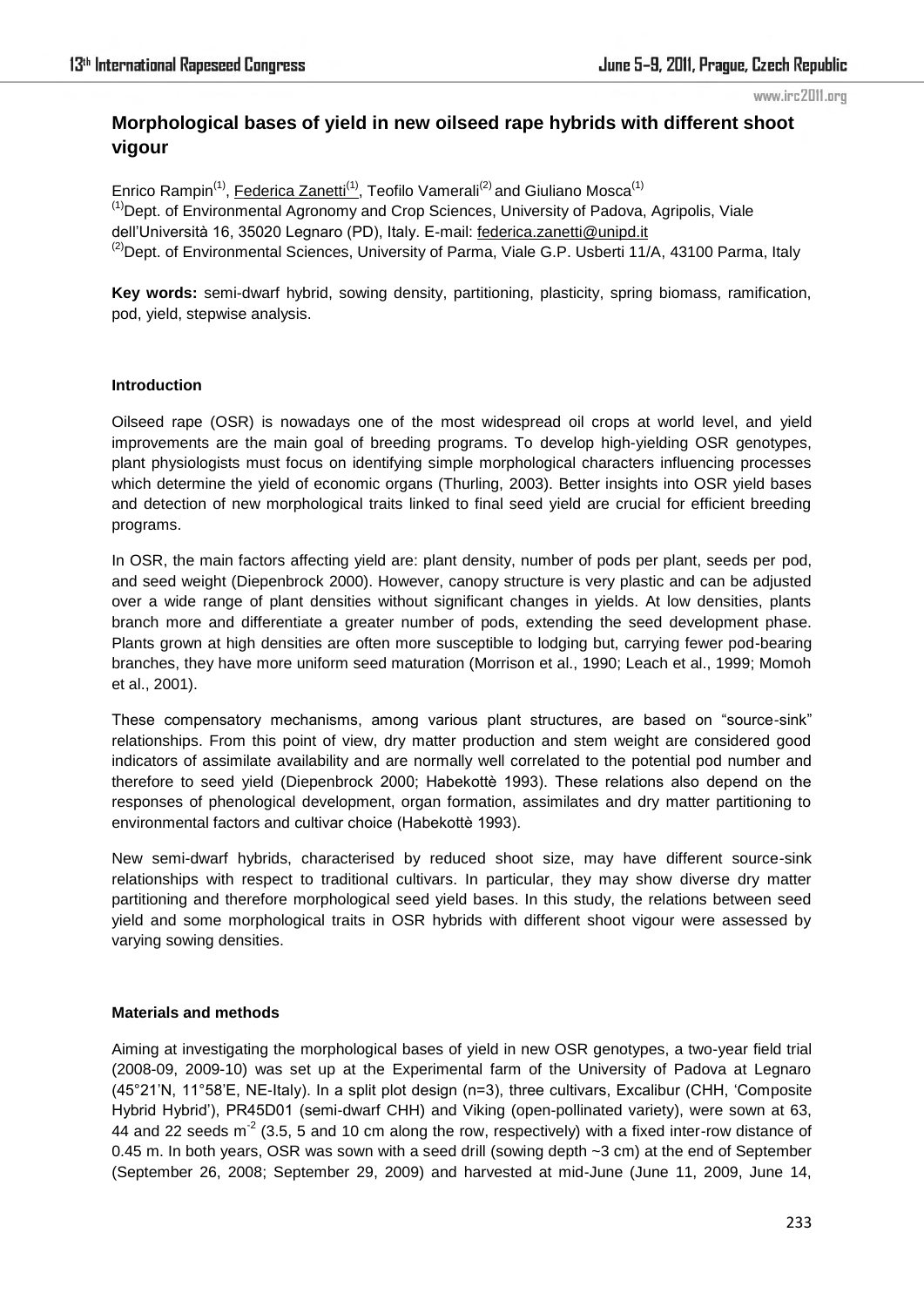# **Morphological bases of yield in new oilseed rape hybrids with different shoot vigour**

Enrico Rampin<sup>(1)</sup>, Federica Zanetti<sup>(1)</sup>, Teofilo Vamerali<sup>(2)</sup> and Giuliano Mosca<sup>(1)</sup> <sup>(1)</sup>Dept. of Environmental Agronomy and Crop Sciences, University of Padova, Agripolis, Viale dell'Università 16, 35020 Legnaro (PD), Italy. E-mail: federica.zanetti@unipd.it  $^{(2)}$ Dept. of Environmental Sciences, University of Parma, Viale G.P. Usberti 11/A, 43100 Parma, Italy

**Key words:** semi-dwarf hybrid, sowing density, partitioning, plasticity, spring biomass, ramification, pod, yield, stepwise analysis.

#### **Introduction**

Oilseed rape (OSR) is nowadays one of the most widespread oil crops at world level, and yield improvements are the main goal of breeding programs. To develop high-yielding OSR genotypes, plant physiologists must focus on identifying simple morphological characters influencing processes which determine the yield of economic organs (Thurling, 2003). Better insights into OSR yield bases and detection of new morphological traits linked to final seed yield are crucial for efficient breeding programs.

In OSR, the main factors affecting yield are: plant density, number of pods per plant, seeds per pod, and seed weight (Diepenbrock 2000). However, canopy structure is very plastic and can be adjusted over a wide range of plant densities without significant changes in yields. At low densities, plants branch more and differentiate a greater number of pods, extending the seed development phase. Plants grown at high densities are often more susceptible to lodging but, carrying fewer pod-bearing branches, they have more uniform seed maturation (Morrison et al., 1990; Leach et al., 1999; Momoh et al., 2001).

These compensatory mechanisms, among various plant structures, are based on "source-sink" relationships. From this point of view, dry matter production and stem weight are considered good indicators of assimilate availability and are normally well correlated to the potential pod number and therefore to seed yield (Diepenbrock 2000; Habekottè 1993). These relations also depend on the responses of phenological development, organ formation, assimilates and dry matter partitioning to environmental factors and cultivar choice (Habekottè 1993).

New semi-dwarf hybrids, characterised by reduced shoot size, may have different source-sink relationships with respect to traditional cultivars. In particular, they may show diverse dry matter partitioning and therefore morphological seed yield bases. In this study, the relations between seed yield and some morphological traits in OSR hybrids with different shoot vigour were assessed by varying sowing densities.

### **Materials and methods**

Aiming at investigating the morphological bases of yield in new OSR genotypes, a two-year field trial (2008-09, 2009-10) was set up at the Experimental farm of the University of Padova at Legnaro (45°21'N, 11°58'E, NE-Italy). In a split plot design (n=3), three cultivars, Excalibur (CHH, ‗Composite Hybrid Hybrid'), PR45D01 (semi-dwarf CHH) and Viking (open-pollinated variety), were sown at 63, 44 and 22 seeds  $m<sup>-2</sup>$  (3.5, 5 and 10 cm along the row, respectively) with a fixed inter-row distance of 0.45 m. In both years, OSR was sown with a seed drill (sowing depth  $\sim$ 3 cm) at the end of September (September 26, 2008; September 29, 2009) and harvested at mid-June (June 11, 2009, June 14,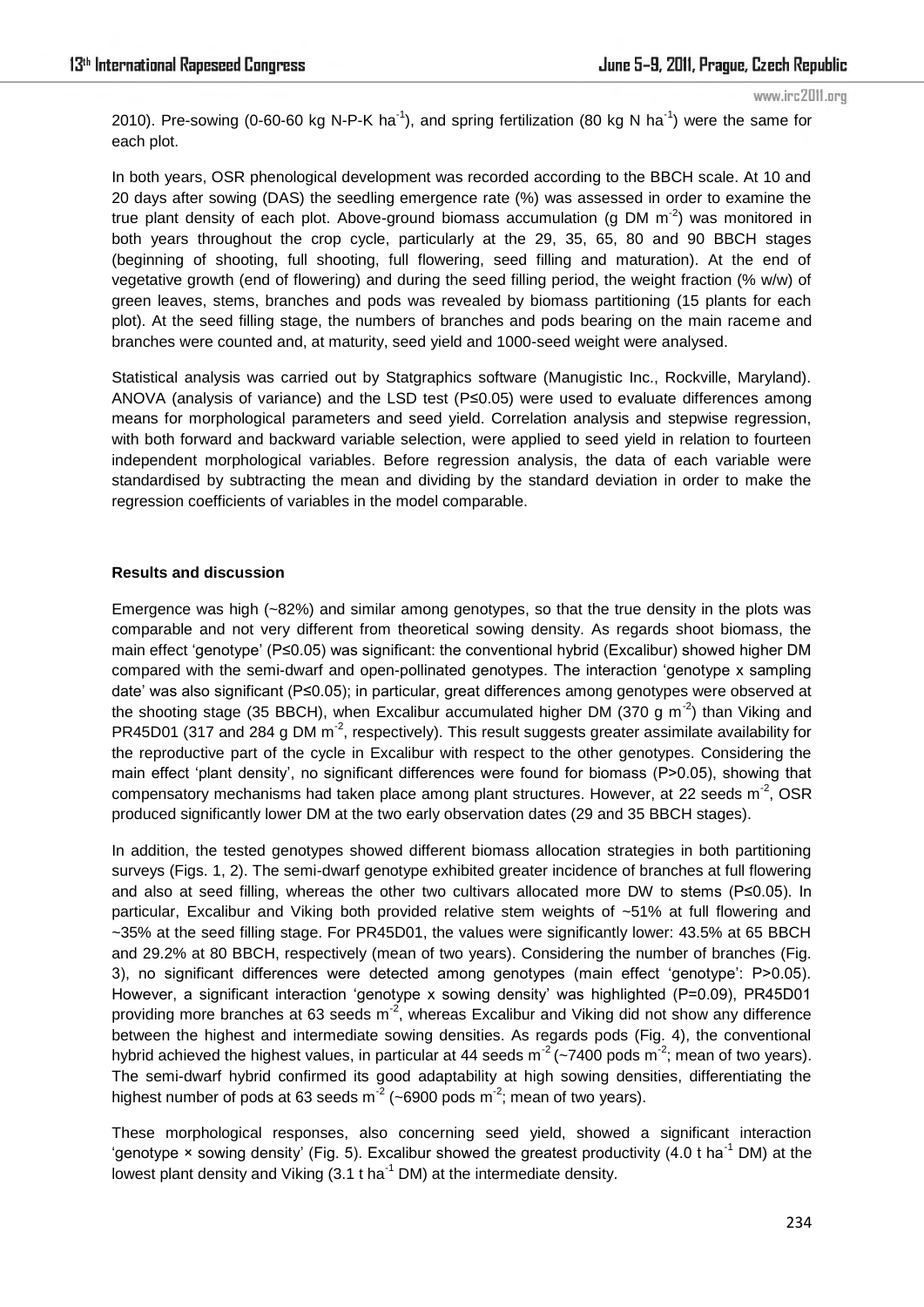2010). Pre-sowing (0-60-60 kg N-P-K ha<sup>-1</sup>), and spring fertilization (80 kg N ha<sup>-1</sup>) were the same for each plot.

In both years, OSR phenological development was recorded according to the BBCH scale. At 10 and 20 days after sowing (DAS) the seedling emergence rate (%) was assessed in order to examine the true plant density of each plot. Above-ground biomass accumulation (g DM  $m<sup>-2</sup>$ ) was monitored in both years throughout the crop cycle, particularly at the 29, 35, 65, 80 and 90 BBCH stages (beginning of shooting, full shooting, full flowering, seed filling and maturation). At the end of vegetative growth (end of flowering) and during the seed filling period, the weight fraction (% w/w) of green leaves, stems, branches and pods was revealed by biomass partitioning (15 plants for each plot). At the seed filling stage, the numbers of branches and pods bearing on the main raceme and branches were counted and, at maturity, seed yield and 1000-seed weight were analysed.

Statistical analysis was carried out by Statgraphics software (Manugistic Inc., Rockville, Maryland). ANOVA (analysis of variance) and the LSD test (P≤0.05) were used to evaluate differences among means for morphological parameters and seed yield. Correlation analysis and stepwise regression, with both forward and backward variable selection, were applied to seed yield in relation to fourteen independent morphological variables. Before regression analysis, the data of each variable were standardised by subtracting the mean and dividing by the standard deviation in order to make the regression coefficients of variables in the model comparable.

### **Results and discussion**

Emergence was high (~82%) and similar among genotypes, so that the true density in the plots was comparable and not very different from theoretical sowing density. As regards shoot biomass, the main effect 'genotype' (P≤0.05) was significant: the conventional hybrid (Excalibur) showed higher DM compared with the semi-dwarf and open-pollinated genotypes. The interaction 'genotype x sampling date' was also significant (P≤0.05); in particular, great differences among genotypes were observed at the shooting stage (35 BBCH), when Excalibur accumulated higher DM (370 g m<sup>-2</sup>) than Viking and PR45D01 (317 and 284 g DM m<sup>-2</sup>, respectively). This result suggests greater assimilate availability for the reproductive part of the cycle in Excalibur with respect to the other genotypes. Considering the main effect 'plant density', no significant differences were found for biomass (P>0.05), showing that compensatory mechanisms had taken place among plant structures. However, at 22 seeds  $m^2$ , OSR produced significantly lower DM at the two early observation dates (29 and 35 BBCH stages).

In addition, the tested genotypes showed different biomass allocation strategies in both partitioning surveys (Figs. 1, 2). The semi-dwarf genotype exhibited greater incidence of branches at full flowering and also at seed filling, whereas the other two cultivars allocated more DW to stems (P≤0.05). In particular, Excalibur and Viking both provided relative stem weights of ~51% at full flowering and ~35% at the seed filling stage. For PR45D01, the values were significantly lower: 43.5% at 65 BBCH and 29.2% at 80 BBCH, respectively (mean of two years). Considering the number of branches (Fig. 3), no significant differences were detected among genotypes (main effect 'genotype': P>0.05). However, a significant interaction 'genotype x sowing density' was highlighted (P=0.09), PR45D01 providing more branches at 63 seeds  $m<sup>2</sup>$ , whereas Excalibur and Viking did not show any difference between the highest and intermediate sowing densities. As regards pods (Fig. 4), the conventional hybrid achieved the highest values, in particular at 44 seeds m<sup>-2</sup> (~7400 pods m<sup>-2</sup>; mean of two years). The semi-dwarf hybrid confirmed its good adaptability at high sowing densities, differentiating the highest number of pods at 63 seeds  $m^2$  (~6900 pods  $m^2$ ; mean of two years).

These morphological responses, also concerning seed yield, showed a significant interaction 'genotype  $\times$  sowing density' (Fig. 5). Excalibur showed the greatest productivity (4.0 t ha<sup>-1</sup> DM) at the lowest plant density and Viking  $(3.1 \text{ t} \text{ ha}^{-1} \text{ DM})$  at the intermediate density.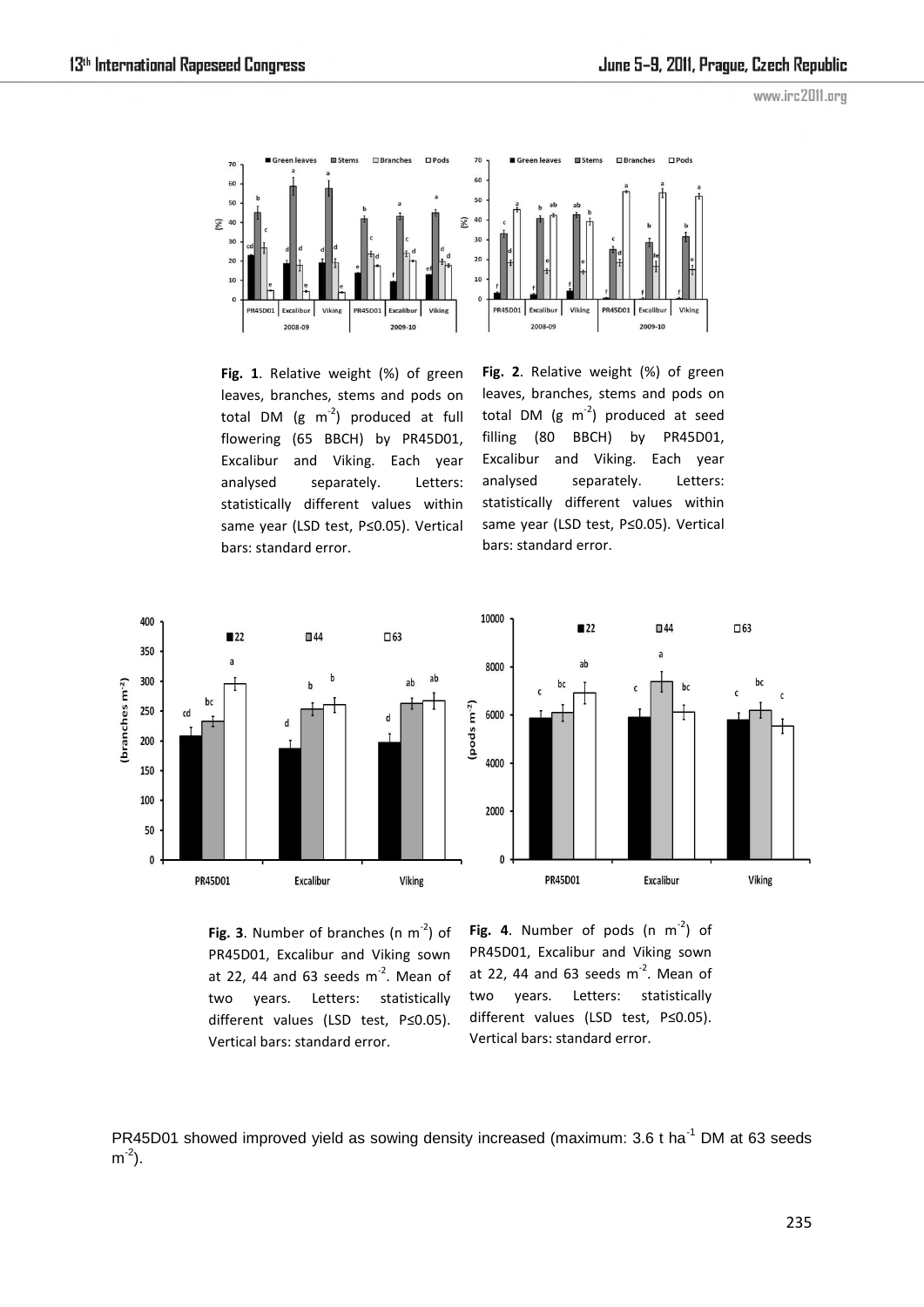

**Fig. 1**. Relative weight (%) of green leaves, branches, stems and pods on total DM  $(g \ m^2)$  produced at full flowering (65 BBCH) by PR45D01, Excalibur and Viking. Each year analysed separately. Letters: statistically different values within same year (LSD test, P≤0.05). Vertical bars: standard error.

**Fig. 2**. Relative weight (%) of green leaves, branches, stems and pods on total DM  $(g \ m^2)$  produced at seed filling (80 BBCH) by PR45D01, Excalibur and Viking. Each year analysed separately. Letters: statistically different values within same year (LSD test, P≤0.05). Vertical bars: standard error.





Fig. 3. Number of branches (n  $m<sup>-2</sup>$ ) of PR45D01, Excalibur and Viking sown at 22, 44 and 63 seeds  $m<sup>-2</sup>$ . Mean of two years. Letters: statistically different values (LSD test, P≤0.05). Vertical bars: standard error.

Fig. 4. Number of pods  $(n \ m^2)$  of PR45D01, Excalibur and Viking sown at 22, 44 and 63 seeds  $m<sup>-2</sup>$ . Mean of two years. Letters: statistically different values (LSD test, P≤0.05). Vertical bars: standard error.

PR45D01 showed improved yield as sowing density increased (maximum: 3.6 t ha<sup>-1</sup> DM at 63 seeds  $m^2$ ).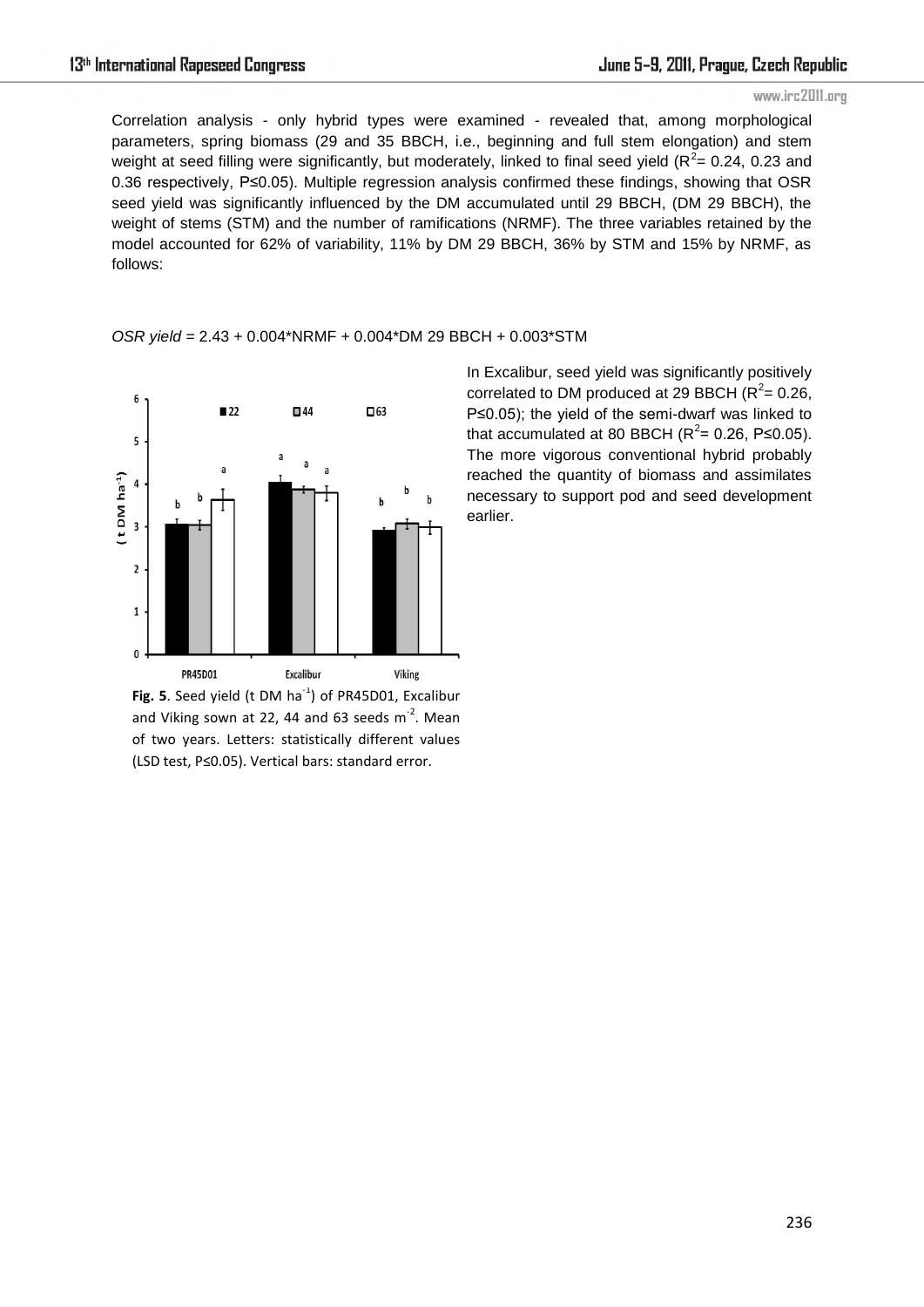Correlation analysis - only hybrid types were examined - revealed that, among morphological parameters, spring biomass (29 and 35 BBCH, i.e., beginning and full stem elongation) and stem weight at seed filling were significantly, but moderately, linked to final seed yield ( $R^2$  = 0.24, 0.23 and 0.36 respectively, P≤0.05). Multiple regression analysis confirmed these findings, showing that OSR seed yield was significantly influenced by the DM accumulated until 29 BBCH, (DM 29 BBCH), the weight of stems (STM) and the number of ramifications (NRMF). The three variables retained by the model accounted for 62% of variability, 11% by DM 29 BBCH, 36% by STM and 15% by NRMF, as follows:

*OSR yield =* 2.43 + 0.004\*NRMF + 0.004\*DM 29 BBCH + 0.003\*STM



**Fig. 5**. Seed yield (t DM ha<sup>-1</sup>) of PR45D01, Excalibur and Viking sown at 22, 44 and 63 seeds  $m^2$ . Mean of two years. Letters: statistically different values (LSD test, P≤0.05). Vertical bars: standard error.

In Excalibur, seed yield was significantly positively correlated to DM produced at 29 BBCH  $(R^2 = 0.26,$ P≤0.05); the yield of the semi-dwarf was linked to that accumulated at 80 BBCH  $(R^2 = 0.26, P \le 0.05)$ . The more vigorous conventional hybrid probably reached the quantity of biomass and assimilates necessary to support pod and seed development earlier.